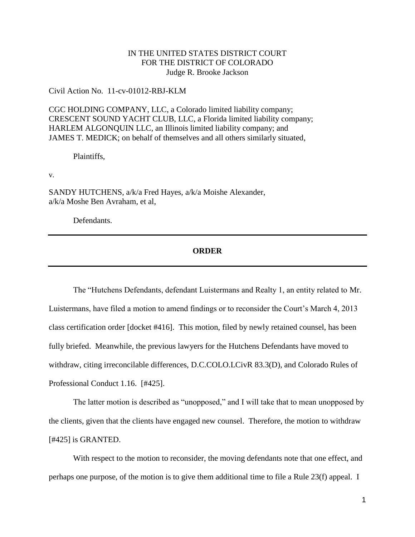## IN THE UNITED STATES DISTRICT COURT FOR THE DISTRICT OF COLORADO Judge R. Brooke Jackson

Civil Action No. 11-cv-01012-RBJ-KLM

CGC HOLDING COMPANY, LLC, a Colorado limited liability company; CRESCENT SOUND YACHT CLUB, LLC, a Florida limited liability company; HARLEM ALGONQUIN LLC, an Illinois limited liability company; and JAMES T. MEDICK; on behalf of themselves and all others similarly situated,

Plaintiffs,

v.

SANDY HUTCHENS, a/k/a Fred Hayes, a/k/a Moishe Alexander, a/k/a Moshe Ben Avraham, et al,

Defendants.

## **ORDER**

The "Hutchens Defendants, defendant Luistermans and Realty 1, an entity related to Mr. Luistermans, have filed a motion to amend findings or to reconsider the Court's March 4, 2013 class certification order [docket #416]. This motion, filed by newly retained counsel, has been fully briefed. Meanwhile, the previous lawyers for the Hutchens Defendants have moved to withdraw, citing irreconcilable differences, D.C.COLO.LCivR 83.3(D), and Colorado Rules of Professional Conduct 1.16. [#425].

The latter motion is described as "unopposed," and I will take that to mean unopposed by the clients, given that the clients have engaged new counsel. Therefore, the motion to withdraw [#425] is GRANTED.

With respect to the motion to reconsider, the moving defendants note that one effect, and perhaps one purpose, of the motion is to give them additional time to file a Rule 23(f) appeal. I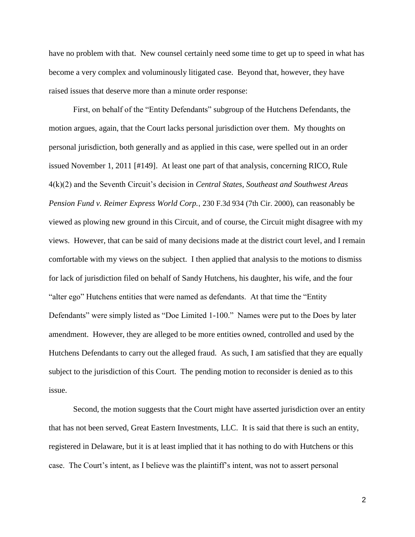have no problem with that. New counsel certainly need some time to get up to speed in what has become a very complex and voluminously litigated case. Beyond that, however, they have raised issues that deserve more than a minute order response:

First, on behalf of the "Entity Defendants" subgroup of the Hutchens Defendants, the motion argues, again, that the Court lacks personal jurisdiction over them. My thoughts on personal jurisdiction, both generally and as applied in this case, were spelled out in an order issued November 1, 2011 [#149]. At least one part of that analysis, concerning RICO, Rule 4(k)(2) and the Seventh Circuit's decision in *Central States, Southeast and Southwest Areas Pension Fund v. Reimer Express World Corp.*, 230 F.3d 934 (7th Cir. 2000), can reasonably be viewed as plowing new ground in this Circuit, and of course, the Circuit might disagree with my views. However, that can be said of many decisions made at the district court level, and I remain comfortable with my views on the subject. I then applied that analysis to the motions to dismiss for lack of jurisdiction filed on behalf of Sandy Hutchens, his daughter, his wife, and the four "alter ego" Hutchens entities that were named as defendants. At that time the "Entity Defendants" were simply listed as "Doe Limited 1-100." Names were put to the Does by later amendment. However, they are alleged to be more entities owned, controlled and used by the Hutchens Defendants to carry out the alleged fraud. As such, I am satisfied that they are equally subject to the jurisdiction of this Court. The pending motion to reconsider is denied as to this issue.

Second, the motion suggests that the Court might have asserted jurisdiction over an entity that has not been served, Great Eastern Investments, LLC. It is said that there is such an entity, registered in Delaware, but it is at least implied that it has nothing to do with Hutchens or this case. The Court's intent, as I believe was the plaintiff's intent, was not to assert personal

2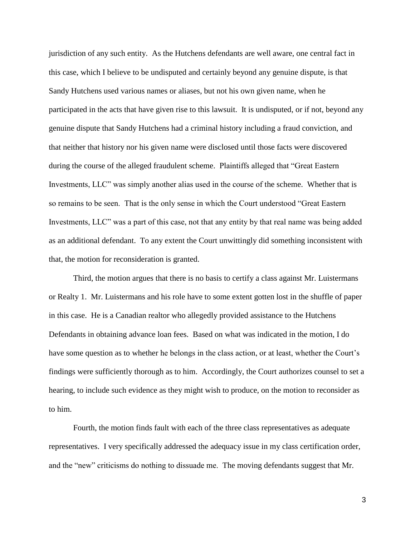jurisdiction of any such entity. As the Hutchens defendants are well aware, one central fact in this case, which I believe to be undisputed and certainly beyond any genuine dispute, is that Sandy Hutchens used various names or aliases, but not his own given name, when he participated in the acts that have given rise to this lawsuit. It is undisputed, or if not, beyond any genuine dispute that Sandy Hutchens had a criminal history including a fraud conviction, and that neither that history nor his given name were disclosed until those facts were discovered during the course of the alleged fraudulent scheme. Plaintiffs alleged that "Great Eastern Investments, LLC" was simply another alias used in the course of the scheme. Whether that is so remains to be seen. That is the only sense in which the Court understood "Great Eastern Investments, LLC" was a part of this case, not that any entity by that real name was being added as an additional defendant. To any extent the Court unwittingly did something inconsistent with that, the motion for reconsideration is granted.

Third, the motion argues that there is no basis to certify a class against Mr. Luistermans or Realty 1. Mr. Luistermans and his role have to some extent gotten lost in the shuffle of paper in this case. He is a Canadian realtor who allegedly provided assistance to the Hutchens Defendants in obtaining advance loan fees. Based on what was indicated in the motion, I do have some question as to whether he belongs in the class action, or at least, whether the Court's findings were sufficiently thorough as to him. Accordingly, the Court authorizes counsel to set a hearing, to include such evidence as they might wish to produce, on the motion to reconsider as to him.

Fourth, the motion finds fault with each of the three class representatives as adequate representatives. I very specifically addressed the adequacy issue in my class certification order, and the "new" criticisms do nothing to dissuade me. The moving defendants suggest that Mr.

3